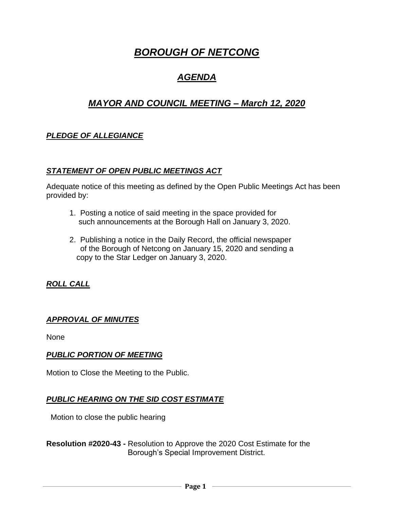# *BOROUGH OF NETCONG*

# *AGENDA*

# *MAYOR AND COUNCIL MEETING – March 12, 2020*

## *PLEDGE OF ALLEGIANCE*

#### *STATEMENT OF OPEN PUBLIC MEETINGS ACT*

Adequate notice of this meeting as defined by the Open Public Meetings Act has been provided by:

- 1. Posting a notice of said meeting in the space provided for such announcements at the Borough Hall on January 3, 2020.
- 2. Publishing a notice in the Daily Record, the official newspaper of the Borough of Netcong on January 15, 2020 and sending a copy to the Star Ledger on January 3, 2020.

## *ROLL CALL*

#### *APPROVAL OF MINUTES*

None

#### *PUBLIC PORTION OF MEETING*

Motion to Close the Meeting to the Public.

#### *PUBLIC HEARING ON THE SID COST ESTIMATE*

Motion to close the public hearing

**Resolution #2020-43 -** Resolution to Approve the 2020 Cost Estimate for the Borough's Special Improvement District.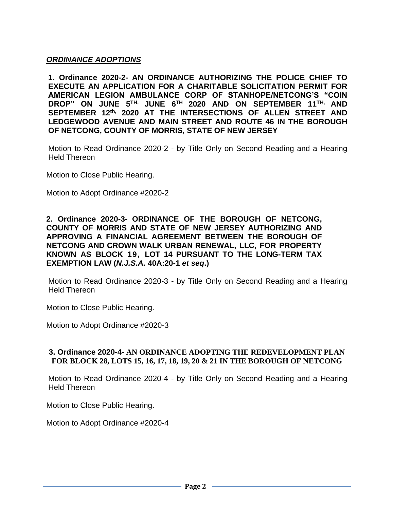### *ORDINANCE ADOPTIONS*

**1. Ordinance 2020-2- AN ORDINANCE AUTHORIZING THE POLICE CHIEF TO EXECUTE AN APPLICATION FOR A CHARITABLE SOLICITATION PERMIT FOR AMERICAN LEGION AMBULANCE CORP OF STANHOPE/NETCONG'S "COIN DROP" ON JUNE 5 TH, JUNE 6 TH 2020 AND ON SEPTEMBER 11 TH, AND SEPTEMBER 12 th, 2020 AT THE INTERSECTIONS OF ALLEN STREET AND LEDGEWOOD AVENUE AND MAIN STREET AND ROUTE 46 IN THE BOROUGH OF NETCONG, COUNTY OF MORRIS, STATE OF NEW JERSEY**

Motion to Read Ordinance 2020-2 - by Title Only on Second Reading and a Hearing Held Thereon

Motion to Close Public Hearing.

Motion to Adopt Ordinance #2020-2

#### **2. Ordinance 2020-3- ORDINANCE OF THE BOROUGH OF NETCONG, COUNTY OF MORRIS AND STATE OF NEW JERSEY AUTHORIZING AND APPROVING A FINANCIAL AGREEMENT BETWEEN THE BOROUGH OF NETCONG AND CROWN WALK URBAN RENEWAL, LLC, FOR PROPERTY KNOWN AS BLOCK 19, LOT 14 PURSUANT TO THE LONG-TERM TAX EXEMPTION LAW (***N.J.S.A.* **40A:20-1** *et seq***.)**

Motion to Read Ordinance 2020-3 - by Title Only on Second Reading and a Hearing Held Thereon

Motion to Close Public Hearing.

Motion to Adopt Ordinance #2020-3

#### **3. Ordinance 2020-4- AN ORDINANCE ADOPTING THE REDEVELOPMENT PLAN FOR BLOCK 28, LOTS 15, 16, 17, 18, 19, 20 & 21 IN THE BOROUGH OF NETCONG**

Motion to Read Ordinance 2020-4 - by Title Only on Second Reading and a Hearing Held Thereon

Motion to Close Public Hearing.

Motion to Adopt Ordinance #2020-4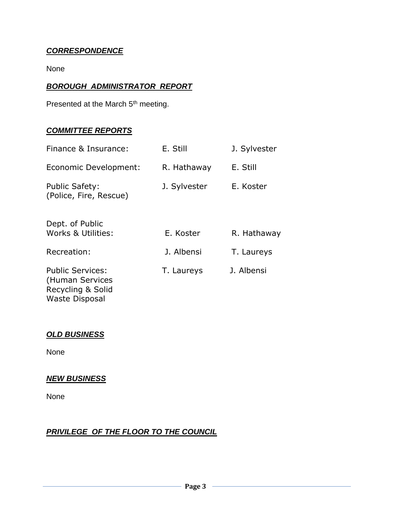## *CORRESPONDENCE*

None

## *BOROUGH ADMINISTRATOR REPORT*

Presented at the March 5<sup>th</sup> meeting.

#### *COMMITTEE REPORTS*

| Finance & Insurance:                                                                     | E. Still     | J. Sylvester |
|------------------------------------------------------------------------------------------|--------------|--------------|
| Economic Development:                                                                    | R. Hathaway  | E. Still     |
| <b>Public Safety:</b><br>(Police, Fire, Rescue)                                          | J. Sylvester | E. Koster    |
| Dept. of Public<br>Works & Utilities:                                                    | E. Koster    | R. Hathaway  |
| Recreation:                                                                              | J. Albensi   | T. Laureys   |
| <b>Public Services:</b><br>(Human Services<br>Recycling & Solid<br><b>Waste Disposal</b> | T. Laureys   | J. Albensi   |

### *OLD BUSINESS*

None

# *NEW BUSINESS*

None

## *PRIVILEGE OF THE FLOOR TO THE COUNCIL*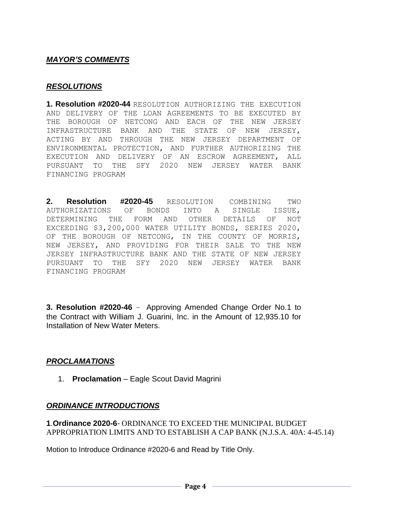#### *MAYOR'S COMMENTS*

#### *RESOLUTIONS*

**1. Resolution #2020-44** RESOLUTION AUTHORIZING THE EXECUTION AND DELIVERY OF THE LOAN AGREEMENTS TO BE EXECUTED BY THE BOROUGH OF NETCONG AND EACH OF THE NEW JERSEY INFRASTRUCTURE BANK AND THE STATE OF NEW JERSEY, ACTING BY AND THROUGH THE NEW JERSEY DEPARTMENT OF ENVIRONMENTAL PROTECTION, AND FURTHER AUTHORIZING THE EXECUTION AND DELIVERY OF AN ESCROW AGREEMENT, ALL PURSUANT TO THE SFY 2020 NEW JERSEY WATER BANK FINANCING PROGRAM

**2. Resolution #2020-45** RESOLUTION COMBINING TWO AUTHORIZATIONS OF BONDS INTO A SINGLE ISSUE, DETERMINING THE FORM AND OTHER DETAILS OF NOT EXCEEDING \$3,200,000 WATER UTILITY BONDS, SERIES 2020, OF THE BOROUGH OF NETCONG, IN THE COUNTY OF MORRIS, NEW JERSEY, AND PROVIDING FOR THEIR SALE TO THE NEW JERSEY INFRASTRUCTURE BANK AND THE STATE OF NEW JERSEY PURSUANT TO THE SFY 2020 NEW JERSEY WATER BANK FINANCING PROGRAM

**3. Resolution #2020-46** – Approving Amended Change Order No.1 to the Contract with William J. Guarini, Inc. in the Amount of 12,935.10 for Installation of New Water Meters.

#### *PROCLAMATIONS*

1. **Proclamation** – Eagle Scout David Magrini

#### *ORDINANCE INTRODUCTIONS*

**1***.***Ordinance 2020-6***-* ORDINANCE TO EXCEED THE MUNICIPAL BUDGET APPROPRIATION LIMITS AND TO ESTABLISH A CAP BANK (N.J.S.A. 40A: 4-45.14)

Motion to Introduce Ordinance #2020-6 and Read by Title Only.